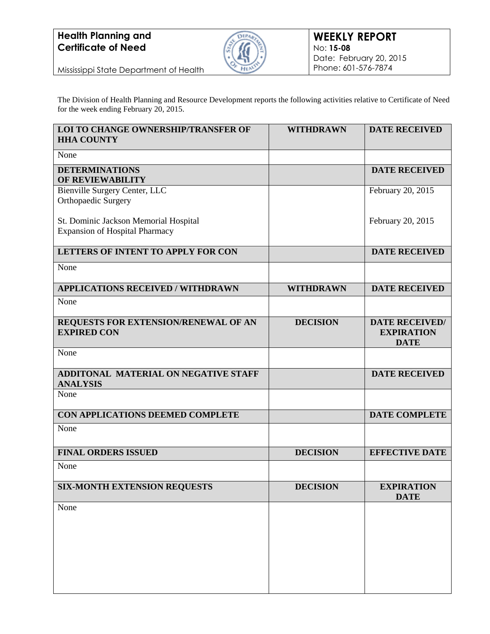

Mississippi State Department of Health

The Division of Health Planning and Resource Development reports the following activities relative to Certificate of Need for the week ending February 20, 2015.

| <b>LOI TO CHANGE OWNERSHIP/TRANSFER OF</b><br><b>HHA COUNTY</b>                | <b>WITHDRAWN</b> | <b>DATE RECEIVED</b>                                      |
|--------------------------------------------------------------------------------|------------------|-----------------------------------------------------------|
| None                                                                           |                  |                                                           |
| <b>DETERMINATIONS</b><br><b>OF REVIEWABILITY</b>                               |                  | <b>DATE RECEIVED</b>                                      |
| Bienville Surgery Center, LLC<br>Orthopaedic Surgery                           |                  | February 20, 2015                                         |
| St. Dominic Jackson Memorial Hospital<br><b>Expansion of Hospital Pharmacy</b> |                  | February 20, 2015                                         |
| LETTERS OF INTENT TO APPLY FOR CON                                             |                  | <b>DATE RECEIVED</b>                                      |
| None                                                                           |                  |                                                           |
| <b>APPLICATIONS RECEIVED / WITHDRAWN</b>                                       | <b>WITHDRAWN</b> | <b>DATE RECEIVED</b>                                      |
| None                                                                           |                  |                                                           |
| REQUESTS FOR EXTENSION/RENEWAL OF AN<br><b>EXPIRED CON</b>                     | <b>DECISION</b>  | <b>DATE RECEIVED/</b><br><b>EXPIRATION</b><br><b>DATE</b> |
| None                                                                           |                  |                                                           |
| <b>ADDITONAL MATERIAL ON NEGATIVE STAFF</b><br><b>ANALYSIS</b>                 |                  | <b>DATE RECEIVED</b>                                      |
| None                                                                           |                  |                                                           |
| CON APPLICATIONS DEEMED COMPLETE                                               |                  | <b>DATE COMPLETE</b>                                      |
| None                                                                           |                  |                                                           |
| <b>FINAL ORDERS ISSUED</b>                                                     | <b>DECISION</b>  | <b>EFFECTIVE DATE</b>                                     |
| None                                                                           |                  |                                                           |
| <b>SIX-MONTH EXTENSION REQUESTS</b>                                            | <b>DECISION</b>  | <b>EXPIRATION</b><br><b>DATE</b>                          |
| None                                                                           |                  |                                                           |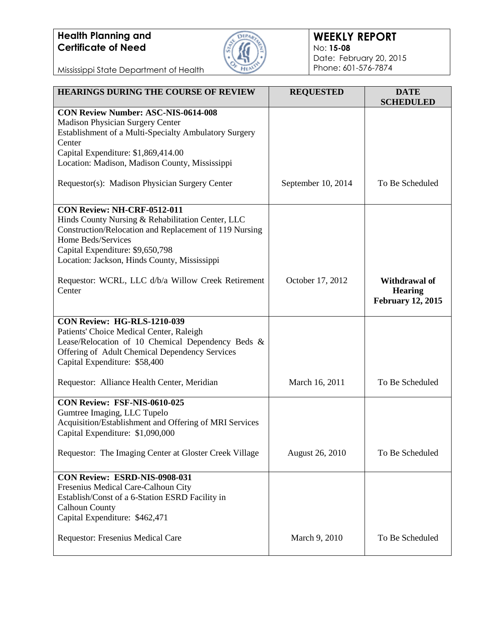

#### **WEEKLY REPORT** No: **15-08** Date: February 20, 2015 Phone: 601-576-7874

Mississippi State Department of Health

| <b>HEARINGS DURING THE COURSE OF REVIEW</b>                                                                                                                                                                                                          | <b>REQUESTED</b>   | <b>DATE</b><br><b>SCHEDULED</b>                             |
|------------------------------------------------------------------------------------------------------------------------------------------------------------------------------------------------------------------------------------------------------|--------------------|-------------------------------------------------------------|
| <b>CON Review Number: ASC-NIS-0614-008</b><br><b>Madison Physician Surgery Center</b><br>Establishment of a Multi-Specialty Ambulatory Surgery<br>Center<br>Capital Expenditure: \$1,869,414.00<br>Location: Madison, Madison County, Mississippi    |                    |                                                             |
| Requestor(s): Madison Physician Surgery Center                                                                                                                                                                                                       | September 10, 2014 | To Be Scheduled                                             |
| CON Review: NH-CRF-0512-011<br>Hinds County Nursing & Rehabilitation Center, LLC<br>Construction/Relocation and Replacement of 119 Nursing<br>Home Beds/Services<br>Capital Expenditure: \$9,650,798<br>Location: Jackson, Hinds County, Mississippi |                    |                                                             |
| Requestor: WCRL, LLC d/b/a Willow Creek Retirement<br>Center                                                                                                                                                                                         | October 17, 2012   | Withdrawal of<br><b>Hearing</b><br><b>February 12, 2015</b> |
| CON Review: HG-RLS-1210-039<br>Patients' Choice Medical Center, Raleigh<br>Lease/Relocation of 10 Chemical Dependency Beds &<br>Offering of Adult Chemical Dependency Services<br>Capital Expenditure: \$58,400                                      |                    |                                                             |
| Requestor: Alliance Health Center, Meridian                                                                                                                                                                                                          | March 16, 2011     | To Be Scheduled                                             |
| <b>CON Review: FSF-NIS-0610-025</b><br>Gumtree Imaging, LLC Tupelo<br>Acquisition/Establishment and Offering of MRI Services<br>Capital Expenditure: \$1,090,000<br>Requestor: The Imaging Center at Gloster Creek Village                           | August 26, 2010    | To Be Scheduled                                             |
|                                                                                                                                                                                                                                                      |                    |                                                             |
| CON Review: ESRD-NIS-0908-031<br>Fresenius Medical Care-Calhoun City<br>Establish/Const of a 6-Station ESRD Facility in<br><b>Calhoun County</b><br>Capital Expenditure: \$462,471                                                                   |                    |                                                             |
| Requestor: Fresenius Medical Care                                                                                                                                                                                                                    | March 9, 2010      | To Be Scheduled                                             |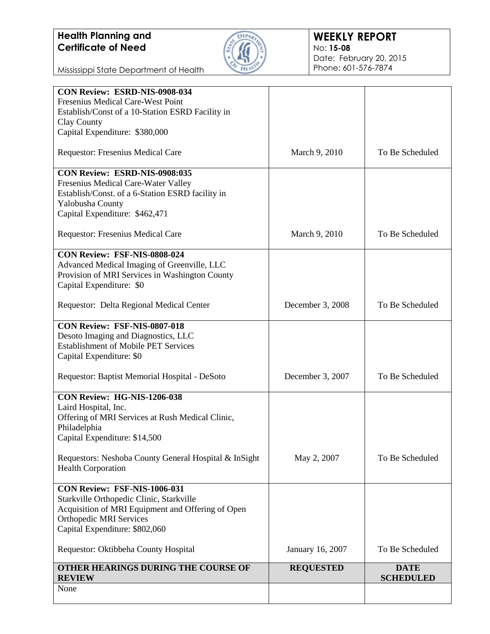

#### **WEEKLY REPORT** No: **15-08** Date: February 20, 2015 Phone: 601-576-7874

Mississippi State Department of Health

| CON Review: ESRD-NIS-0908-034<br>Fresenius Medical Care-West Point                                                                             |                  |                                 |
|------------------------------------------------------------------------------------------------------------------------------------------------|------------------|---------------------------------|
| Establish/Const of a 10-Station ESRD Facility in                                                                                               |                  |                                 |
| Clay County                                                                                                                                    |                  |                                 |
| Capital Expenditure: \$380,000                                                                                                                 |                  |                                 |
|                                                                                                                                                |                  |                                 |
| Requestor: Fresenius Medical Care                                                                                                              | March 9, 2010    | To Be Scheduled                 |
| CON Review: ESRD-NIS-0908:035                                                                                                                  |                  |                                 |
| Fresenius Medical Care-Water Valley                                                                                                            |                  |                                 |
| Establish/Const. of a 6-Station ESRD facility in                                                                                               |                  |                                 |
| Yalobusha County                                                                                                                               |                  |                                 |
| Capital Expenditure: \$462,471                                                                                                                 |                  |                                 |
| Requestor: Fresenius Medical Care                                                                                                              | March 9, 2010    | To Be Scheduled                 |
| CON Review: FSF-NIS-0808-024                                                                                                                   |                  |                                 |
| Advanced Medical Imaging of Greenville, LLC                                                                                                    |                  |                                 |
| Provision of MRI Services in Washington County                                                                                                 |                  |                                 |
| Capital Expenditure: \$0                                                                                                                       |                  |                                 |
| Requestor: Delta Regional Medical Center                                                                                                       | December 3, 2008 | To Be Scheduled                 |
| CON Review: FSF-NIS-0807-018<br>Desoto Imaging and Diagnostics, LLC<br><b>Establishment of Mobile PET Services</b><br>Capital Expenditure: \$0 |                  |                                 |
| Requestor: Baptist Memorial Hospital - DeSoto                                                                                                  | December 3, 2007 | To Be Scheduled                 |
| CON Review: HG-NIS-1206-038                                                                                                                    |                  |                                 |
| Laird Hospital, Inc.                                                                                                                           |                  |                                 |
| Offering of MRI Services at Rush Medical Clinic,                                                                                               |                  |                                 |
| Philadelphia                                                                                                                                   |                  |                                 |
| Capital Expenditure: \$14,500                                                                                                                  |                  |                                 |
| Requestors: Neshoba County General Hospital & InSight<br><b>Health Corporation</b>                                                             | May 2, 2007      | To Be Scheduled                 |
| CON Review: FSF-NIS-1006-031                                                                                                                   |                  |                                 |
| Starkville Orthopedic Clinic, Starkville                                                                                                       |                  |                                 |
| Acquisition of MRI Equipment and Offering of Open                                                                                              |                  |                                 |
| <b>Orthopedic MRI Services</b>                                                                                                                 |                  |                                 |
| Capital Expenditure: \$802,060                                                                                                                 |                  |                                 |
| Requestor: Oktibbeha County Hospital                                                                                                           | January 16, 2007 | To Be Scheduled                 |
| <b>OTHER HEARINGS DURING THE COURSE OF</b><br><b>REVIEW</b>                                                                                    | <b>REQUESTED</b> | <b>DATE</b><br><b>SCHEDULED</b> |
| None                                                                                                                                           |                  |                                 |
|                                                                                                                                                |                  |                                 |